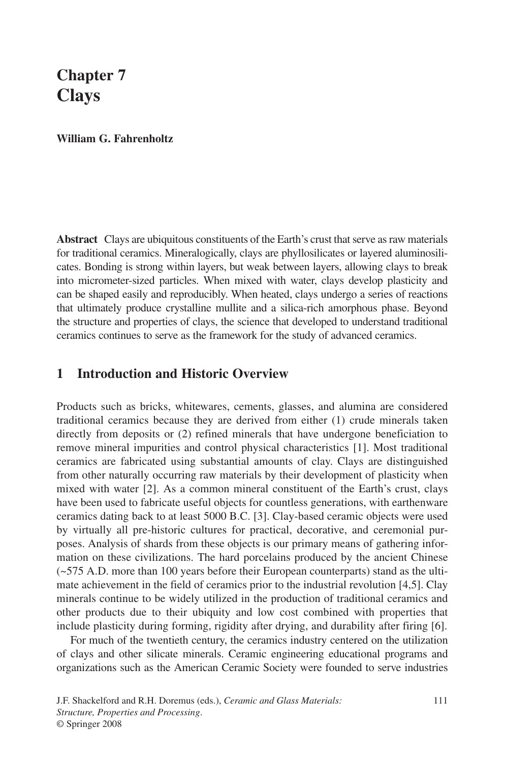# **Chapter 7 Clays**

**William G. Fahrenholtz**

**Abstract** Clays are ubiquitous constituents of the Earth's crust that serve as raw materials for traditional ceramics. Mineralogically, clays are phyllosilicates or layered aluminosilicates. Bonding is strong within layers, but weak between layers, allowing clays to break into micrometer-sized particles. When mixed with water, clays develop plasticity and can be shaped easily and reproducibly. When heated, clays undergo a series of reactions that ultimately produce crystalline mullite and a silica-rich amorphous phase. Beyond the structure and properties of clays, the science that developed to understand traditional ceramics continues to serve as the framework for the study of advanced ceramics.

## **1 Introduction and Historic Overview**

Products such as bricks, whitewares, cements, glasses, and alumina are considered traditional ceramics because they are derived from either (1) crude minerals taken directly from deposits or (2) refined minerals that have undergone beneficiation to remove mineral impurities and control physical characteristics [1]. Most traditional ceramics are fabricated using substantial amounts of clay. Clays are distinguished from other naturally occurring raw materials by their development of plasticity when mixed with water [2]. As a common mineral constituent of the Earth's crust, clays have been used to fabricate useful objects for countless generations, with earthenware ceramics dating back to at least 5000 B.C. [3]. Clay-based ceramic objects were used by virtually all pre-historic cultures for practical, decorative, and ceremonial purposes. Analysis of shards from these objects is our primary means of gathering information on these civilizations. The hard porcelains produced by the ancient Chinese (~575 A.D. more than 100 years before their European counterparts) stand as the ultimate achievement in the field of ceramics prior to the industrial revolution [4,5]. Clay minerals continue to be widely utilized in the production of traditional ceramics and other products due to their ubiquity and low cost combined with properties that include plasticity during forming, rigidity after drying, and durability after firing [6].

For much of the twentieth century, the ceramics industry centered on the utilization of clays and other silicate minerals. Ceramic engineering educational programs and organizations such as the American Ceramic Society were founded to serve industries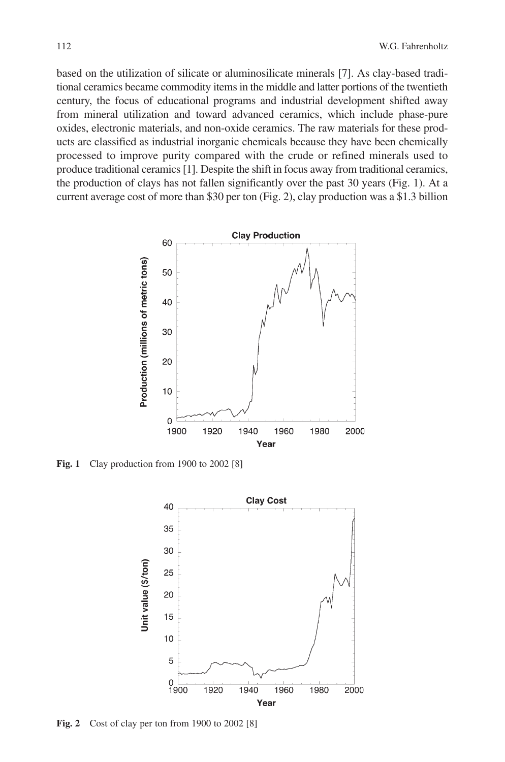based on the utilization of silicate or aluminosilicate minerals [7]. As clay-based traditional ceramics became commodity items in the middle and latter portions of the twentieth century, the focus of educational programs and industrial development shifted away from mineral utilization and toward advanced ceramics, which include phase-pure oxides, electronic materials, and non-oxide ceramics. The raw materials for these products are classified as industrial inorganic chemicals because they have been chemically processed to improve purity compared with the crude or refined minerals used to produce traditional ceramics [1]. Despite the shift in focus away from traditional ceramics, the production of clays has not fallen significantly over the past 30 years (Fig. 1). At a current average cost of more than \$30 per ton (Fig. 2), clay production was a \$1.3 billion



**Fig. 1** Clay production from 1900 to 2002 [8]



**Fig. 2** Cost of clay per ton from 1900 to 2002 [8]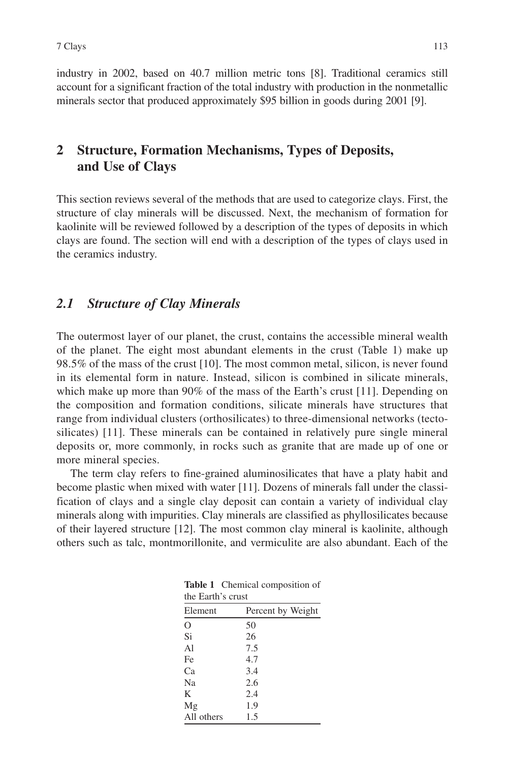industry in 2002, based on 40.7 million metric tons [8]. Traditional ceramics still account for a significant fraction of the total industry with production in the nonmetallic minerals sector that produced approximately \$95 billion in goods during 2001 [9].

## **2 Structure, Formation Mechanisms, Types of Deposits, and Use of Clays**

This section reviews several of the methods that are used to categorize clays. First, the structure of clay minerals will be discussed. Next, the mechanism of formation for kaolinite will be reviewed followed by a description of the types of deposits in which clays are found. The section will end with a description of the types of clays used in the ceramics industry.

## *2.1 Structure of Clay Minerals*

The outermost layer of our planet, the crust, contains the accessible mineral wealth of the planet. The eight most abundant elements in the crust (Table 1) make up 98.5% of the mass of the crust [10]. The most common metal, silicon, is never found in its elemental form in nature. Instead, silicon is combined in silicate minerals, which make up more than 90% of the mass of the Earth's crust [11]. Depending on the composition and formation conditions, silicate minerals have structures that range from individual clusters (orthosilicates) to three-dimensional networks (tectosilicates) [11]. These minerals can be contained in relatively pure single mineral deposits or, more commonly, in rocks such as granite that are made up of one or more mineral species.

The term clay refers to fine-grained aluminosilicates that have a platy habit and become plastic when mixed with water [11]. Dozens of minerals fall under the classification of clays and a single clay deposit can contain a variety of individual clay minerals along with impurities. Clay minerals are classified as phyllosilicates because of their layered structure [12]. The most common clay mineral is kaolinite, although others such as talc, montmorillonite, and vermiculite are also abundant. Each of the

| the Earth's crust |                   |  |  |  |
|-------------------|-------------------|--|--|--|
| Element           | Percent by Weight |  |  |  |
| O                 | 50                |  |  |  |
| Si                | 26                |  |  |  |
| Al                | 7.5               |  |  |  |
| Fe.               | 4.7               |  |  |  |
| Cа                | 3.4               |  |  |  |
| Na                | 2.6               |  |  |  |
| K                 | 2.4               |  |  |  |
| Mg                | 1.9               |  |  |  |
| All others        | 1.5               |  |  |  |

**Table 1** Chemical composition of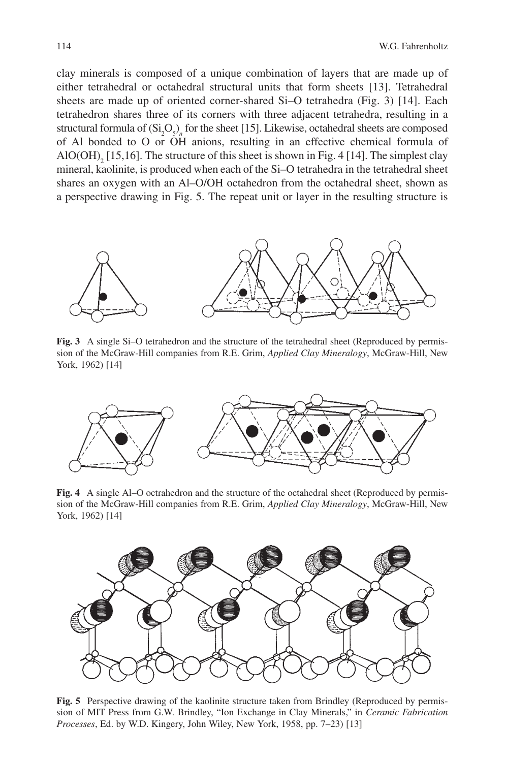clay minerals is composed of a unique combination of layers that are made up of either tetrahedral or octahedral structural units that form sheets [13]. Tetrahedral sheets are made up of oriented corner-shared Si–O tetrahedra (Fig. 3) [14]. Each tetrahedron shares three of its corners with three adjacent tetrahedra, resulting in a structural formula of  $(Si_2O_5)$ <sub>n</sub> for the sheet [15]. Likewise, octahedral sheets are composed of Al bonded to O or OH anions, resulting in an effective chemical formula of  $AIO(OH)$ <sub>2</sub> [15,16]. The structure of this sheet is shown in Fig. 4 [14]. The simplest clay mineral, kaolinite, is produced when each of the Si–O tetrahedra in the tetrahedral sheet shares an oxygen with an Al–O/OH octahedron from the octahedral sheet, shown as a perspective drawing in Fig. 5. The repeat unit or layer in the resulting structure is



**Fig. 3** A single Si–O tetrahedron and the structure of the tetrahedral sheet (Reproduced by permission of the McGraw-Hill companies from R.E. Grim, *Applied Clay Mineralogy*, McGraw-Hill, New York, 1962) [14]



**Fig. 4** A single Al–O octrahedron and the structure of the octahedral sheet (Reproduced by permission of the McGraw-Hill companies from R.E. Grim, *Applied Clay Mineralogy*, McGraw-Hill, New York, 1962) [14]



**Fig. 5** Perspective drawing of the kaolinite structure taken from Brindley (Reproduced by permission of MIT Press from G.W. Brindley, "Ion Exchange in Clay Minerals," in *Ceramic Fabrication Processes*, Ed. by W.D. Kingery, John Wiley, New York, 1958, pp. 7–23) [13]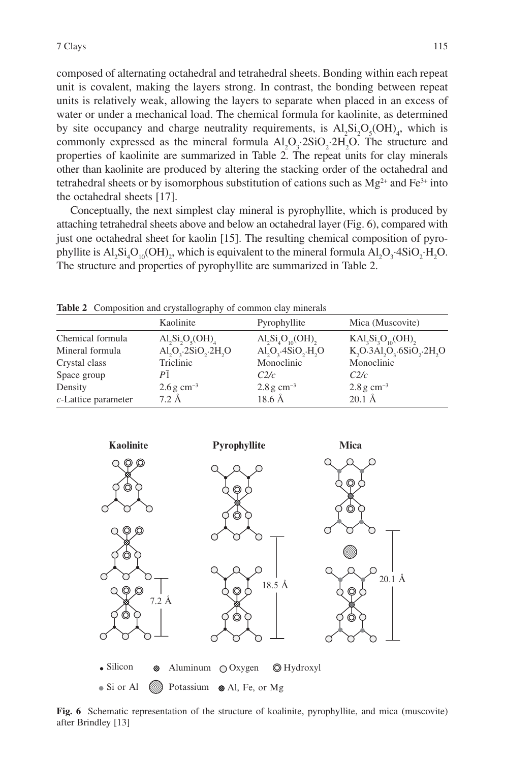composed of alternating octahedral and tetrahedral sheets. Bonding within each repeat unit is covalent, making the layers strong. In contrast, the bonding between repeat units is relatively weak, allowing the layers to separate when placed in an excess of water or under a mechanical load. The chemical formula for kaolinite, as determined by site occupancy and charge neutrality requirements, is  $Al_2Si_2O_5(OH)_4$ , which is commonly expressed as the mineral formula  $Al_2O_3$ :2SiO<sub>2</sub>:2H<sub>2</sub>O. The structure and properties of kaolinite are summarized in Table 2. The repeat units for clay minerals other than kaolinite are produced by altering the stacking order of the octahedral and tetrahedral sheets or by isomorphous substitution of cations such as  $Mg^{2+}$  and  $Fe^{3+}$  into the octahedral sheets [17].

Conceptually, the next simplest clay mineral is pyrophyllite, which is produced by attaching tetrahedral sheets above and below an octahedral layer (Fig. 6), compared with just one octahedral sheet for kaolin [15]. The resulting chemical composition of pyrophyllite is  $Al_2Si_4O_{10}(OH)_2$ , which is equivalent to the mineral formula  $Al_2O_3$  4SiO<sub>2</sub> H<sub>2</sub>O. The structure and properties of pyrophyllite are summarized in Table 2.

|                  | <b>Table 2</b> Composition and crystanography or common clay immerals |                                                    |                               |
|------------------|-----------------------------------------------------------------------|----------------------------------------------------|-------------------------------|
|                  | Kaolinite                                                             | Pyrophyllite                                       | Mica (Muscovite)              |
| Chemical formula | $\text{Al}_2\text{Si}_2\text{O}_5(\text{OH})$                         | $\text{Al}_2\text{Si}_4\text{O}_{10}(\text{OH})$ , | $KAI2Si2O10(OH)$ <sub>2</sub> |
| Mineral formula  | $Al_2O_3.2SiO_2.2H_2O$                                                | $AI_2O_3.4SiO_2.H_2O$                              | K, O.3Al, O, 6SiO, 2H, O      |
| Crystal class    | Triclinic                                                             | Monoclinic                                         | Monoclinic                    |
| Space group      | P1                                                                    | C <sub>2/c</sub>                                   | C2/c                          |
| Density          | $2.6 g cm^{-3}$                                                       | $2.8 g cm^{-3}$                                    | $2.8 g cm^{-3}$               |

*c*-Lattice parameter  $7.2 \text{ Å}$  18.6 Å 20.1 Å

**Table 2** Composition and crystallography of common clay minerals



**Fig. 6** Schematic representation of the structure of koalinite, pyrophyllite, and mica (muscovite) after Brindley [13]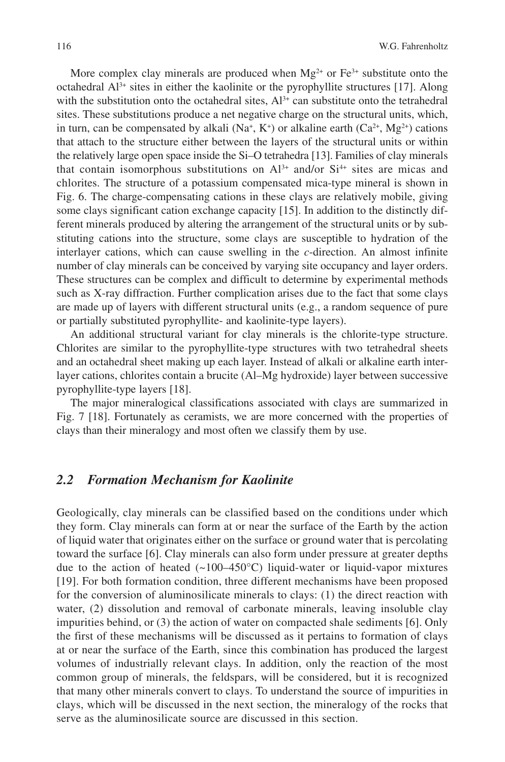More complex clay minerals are produced when  $Mg^{2+}$  or  $Fe^{3+}$  substitute onto the octahedral  $Al^{3+}$  sites in either the kaolinite or the pyrophyllite structures [17]. Along with the substitution onto the octahedral sites,  $A^{3+}$  can substitute onto the tetrahedral sites. These substitutions produce a net negative charge on the structural units, which, in turn, can be compensated by alkali  $(Na^+, K^+)$  or alkaline earth  $(Ca^{2+}, Mg^{2+})$  cations that attach to the structure either between the layers of the structural units or within the relatively large open space inside the Si–O tetrahedra [13]. Families of clay minerals that contain isomorphous substitutions on  $Al^{3+}$  and/or  $Si^{4+}$  sites are micas and chlorites. The structure of a potassium compensated mica-type mineral is shown in Fig. 6. The charge-compensating cations in these clays are relatively mobile, giving some clays significant cation exchange capacity [15]. In addition to the distinctly different minerals produced by altering the arrangement of the structural units or by substituting cations into the structure, some clays are susceptible to hydration of the interlayer cations, which can cause swelling in the *c*-direction. An almost infinite number of clay minerals can be conceived by varying site occupancy and layer orders. These structures can be complex and difficult to determine by experimental methods such as X-ray diffraction. Further complication arises due to the fact that some clays are made up of layers with different structural units (e.g., a random sequence of pure or partially substituted pyrophyllite- and kaolinite-type layers).

An additional structural variant for clay minerals is the chlorite-type structure. Chlorites are similar to the pyrophyllite-type structures with two tetrahedral sheets and an octahedral sheet making up each layer. Instead of alkali or alkaline earth interlayer cations, chlorites contain a brucite (Al–Mg hydroxide) layer between successive pyrophyllite-type layers [18].

The major mineralogical classifications associated with clays are summarized in Fig. 7 [18]. Fortunately as ceramists, we are more concerned with the properties of clays than their mineralogy and most often we classify them by use.

### *2.2 Formation Mechanism for Kaolinite*

Geologically, clay minerals can be classified based on the conditions under which they form. Clay minerals can form at or near the surface of the Earth by the action of liquid water that originates either on the surface or ground water that is percolating toward the surface [6]. Clay minerals can also form under pressure at greater depths due to the action of heated  $(\sim 100-450^{\circ}C)$  liquid-water or liquid-vapor mixtures [19]. For both formation condition, three different mechanisms have been proposed for the conversion of aluminosilicate minerals to clays: (1) the direct reaction with water, (2) dissolution and removal of carbonate minerals, leaving insoluble clay impurities behind, or (3) the action of water on compacted shale sediments [6]. Only the first of these mechanisms will be discussed as it pertains to formation of clays at or near the surface of the Earth, since this combination has produced the largest volumes of industrially relevant clays. In addition, only the reaction of the most common group of minerals, the feldspars, will be considered, but it is recognized that many other minerals convert to clays. To understand the source of impurities in clays, which will be discussed in the next section, the mineralogy of the rocks that serve as the aluminosilicate source are discussed in this section.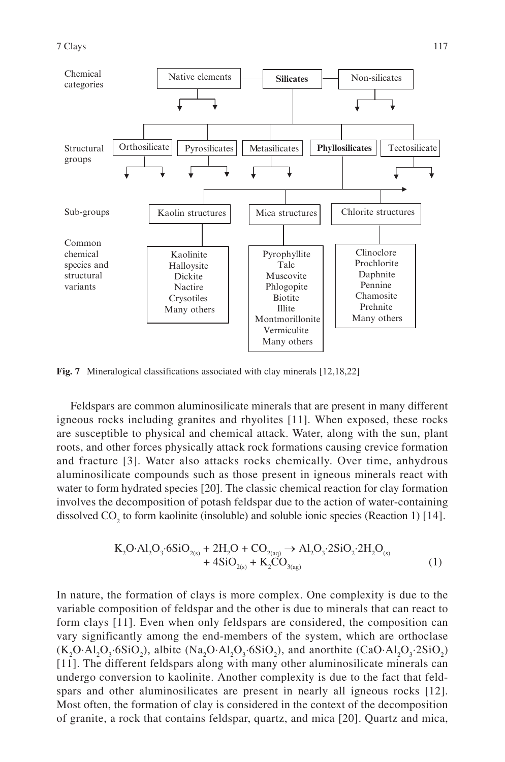

**Fig. 7** Mineralogical classifications associated with clay minerals [12,18,22]

Feldspars are common aluminosilicate minerals that are present in many different igneous rocks including granites and rhyolites [11]. When exposed, these rocks are susceptible to physical and chemical attack. Water, along with the sun, plant roots, and other forces physically attack rock formations causing crevice formation and fracture [3]. Water also attacks rocks chemically. Over time, anhydrous aluminosilicate compounds such as those present in igneous minerals react with water to form hydrated species [20]. The classic chemical reaction for clay formation involves the decomposition of potash feldspar due to the action of water-containing dissolved  $CO_2$  to form kaolinite (insoluble) and soluble ionic species (Reaction 1) [14].

$$
K_2O \cdot Al_2O_3 \cdot 6SiO_{2(s)} + 2H_2O + CO_{2(aq)} \rightarrow Al_2O_3 \cdot 2SiO_2 \cdot 2H_2O_{(s)} + 4SiO_{2(s)} + K_2CO_{3(ag)}
$$
\n(1)

In nature, the formation of clays is more complex. One complexity is due to the variable composition of feldspar and the other is due to minerals that can react to form clays [11]. Even when only feldspars are considered, the composition can vary significantly among the end-members of the system, which are orthoclase  $(K_2O \cdot Al_2O_3 \cdot 6SiO_2)$ , albite  $(Na_2O \cdot Al_2O_3 \cdot 6SiO_2)$ , and anorthite  $(CaO \cdot Al_2O_3 \cdot 2SiO_2)$ [11]. The different feldspars along with many other aluminosilicate minerals can undergo conversion to kaolinite. Another complexity is due to the fact that feldspars and other aluminosilicates are present in nearly all igneous rocks [12]. Most often, the formation of clay is considered in the context of the decomposition of granite, a rock that contains feldspar, quartz, and mica [20]. Quartz and mica,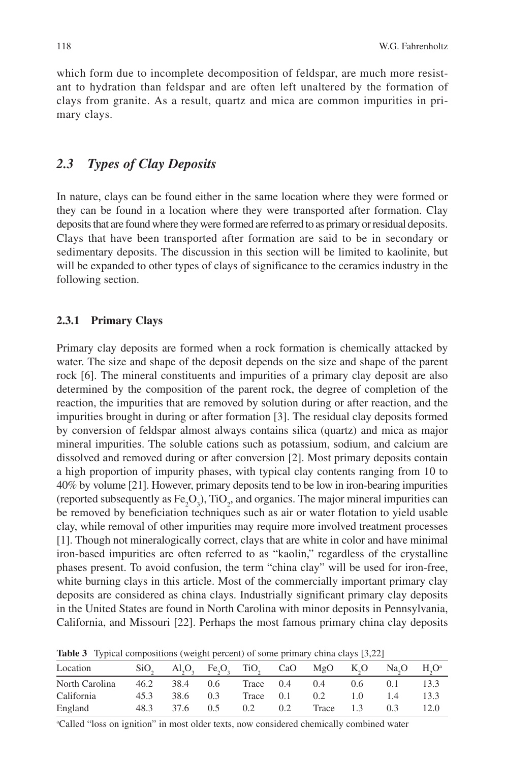which form due to incomplete decomposition of feldspar, are much more resistant to hydration than feldspar and are often left unaltered by the formation of clays from granite. As a result, quartz and mica are common impurities in primary clays.

## *2.3 Types of Clay Deposits*

In nature, clays can be found either in the same location where they were formed or they can be found in a location where they were transported after formation. Clay deposits that are found where they were formed are referred to as primary or residual deposits. Clays that have been transported after formation are said to be in secondary or sedimentary deposits. The discussion in this section will be limited to kaolinite, but will be expanded to other types of clays of significance to the ceramics industry in the following section.

#### **2.3.1 Primary Clays**

Primary clay deposits are formed when a rock formation is chemically attacked by water. The size and shape of the deposit depends on the size and shape of the parent rock [6]. The mineral constituents and impurities of a primary clay deposit are also determined by the composition of the parent rock, the degree of completion of the reaction, the impurities that are removed by solution during or after reaction, and the impurities brought in during or after formation [3]. The residual clay deposits formed by conversion of feldspar almost always contains silica (quartz) and mica as major mineral impurities. The soluble cations such as potassium, sodium, and calcium are dissolved and removed during or after conversion [2]. Most primary deposits contain a high proportion of impurity phases, with typical clay contents ranging from 10 to 40% by volume [21]. However, primary deposits tend to be low in iron-bearing impurities (reported subsequently as  $Fe<sub>2</sub>O<sub>3</sub>$ ), TiO<sub>2</sub>, and organics. The major mineral impurities can be removed by beneficiation techniques such as air or water flotation to yield usable clay, while removal of other impurities may require more involved treatment processes [1]. Though not mineralogically correct, clays that are white in color and have minimal iron-based impurities are often referred to as "kaolin," regardless of the crystalline phases present. To avoid confusion, the term "china clay" will be used for iron-free, white burning clays in this article. Most of the commercially important primary clay deposits are considered as china clays. Industrially significant primary clay deposits in the United States are found in North Carolina with minor deposits in Pennsylvania, California, and Missouri [22]. Perhaps the most famous primary china clay deposits

| Table 3 Typical compositions (weight percent) of some primary china clays [3,22] |  |
|----------------------------------------------------------------------------------|--|
|----------------------------------------------------------------------------------|--|

| Location       | SiO. | Al <sub>2</sub> O, Fe <sub>2</sub> O, TiO <sub>2</sub> CaO MgO K <sub>2</sub> O |     |     |           |           |               | $Na_2O$ $H_2O^a$ |      |
|----------------|------|---------------------------------------------------------------------------------|-----|-----|-----------|-----------|---------------|------------------|------|
| North Carolina | 46.2 | 38.4 0.6                                                                        |     |     | Trace 0.4 | 0.4       | 0.6           | 0.1              | 13.3 |
| California     | 45.3 | 38.6 0.3                                                                        |     |     | Trace 0.1 | 0.2       | $1.0^{\circ}$ | 1.4              | 13.3 |
| England        | 48.3 | 37.6                                                                            | 0.5 | 0.2 | 0.2       | Trace 1.3 |               | 0.3              | 12.0 |

a Called "loss on ignition" in most older texts, now considered chemically combined water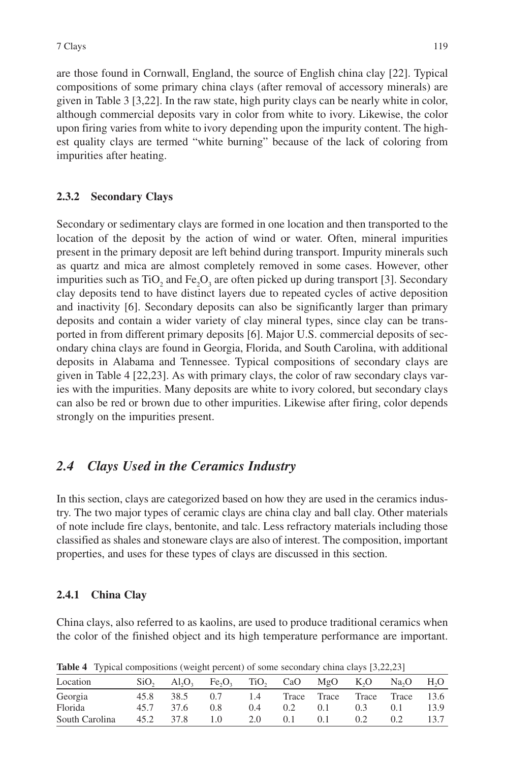are those found in Cornwall, England, the source of English china clay [22]. Typical compositions of some primary china clays (after removal of accessory minerals) are given in Table 3 [3,22]. In the raw state, high purity clays can be nearly white in color, although commercial deposits vary in color from white to ivory. Likewise, the color upon firing varies from white to ivory depending upon the impurity content. The highest quality clays are termed "white burning" because of the lack of coloring from impurities after heating.

## **2.3.2 Secondary Clays**

Secondary or sedimentary clays are formed in one location and then transported to the location of the deposit by the action of wind or water. Often, mineral impurities present in the primary deposit are left behind during transport. Impurity minerals such as quartz and mica are almost completely removed in some cases. However, other impurities such as  $TiO_2$  and  $Fe_2O_3$  are often picked up during transport [3]. Secondary clay deposits tend to have distinct layers due to repeated cycles of active deposition and inactivity [6]. Secondary deposits can also be significantly larger than primary deposits and contain a wider variety of clay mineral types, since clay can be transported in from different primary deposits [6]. Major U.S. commercial deposits of secondary china clays are found in Georgia, Florida, and South Carolina, with additional deposits in Alabama and Tennessee. Typical compositions of secondary clays are given in Table 4 [22,23]. As with primary clays, the color of raw secondary clays varies with the impurities. Many deposits are white to ivory colored, but secondary clays can also be red or brown due to other impurities. Likewise after firing, color depends strongly on the impurities present.

## *2.4 Clays Used in the Ceramics Industry*

In this section, clays are categorized based on how they are used in the ceramics industry. The two major types of ceramic clays are china clay and ball clay. Other materials of note include fire clays, bentonite, and talc. Less refractory materials including those classified as shales and stoneware clays are also of interest. The composition, important properties, and uses for these types of clays are discussed in this section.

## **2.4.1 China Clay**

China clays, also referred to as kaolins, are used to produce traditional ceramics when the color of the finished object and its high temperature performance are important.

Location  $SiO_2$   $Al_2O_3$  Fe<sub>2</sub>O<sub>3</sub> TiO<sub>2</sub> CaO MgO K<sub>2</sub>O Na<sub>2</sub>O H<sub>2</sub>O Georgia 45.8 38.5 0.7 1.4 Trace Trace Trace Trace 13.6 Florida 45.7 37.6 0.8 0.4 0.2 0.1 0.3 0.1 13.9 South Carolina 45.2 37.8 1.0 2.0 0.1 0.1 0.2 0.2 13.7

**Table 4** Typical compositions (weight percent) of some secondary china clays [3,22,23]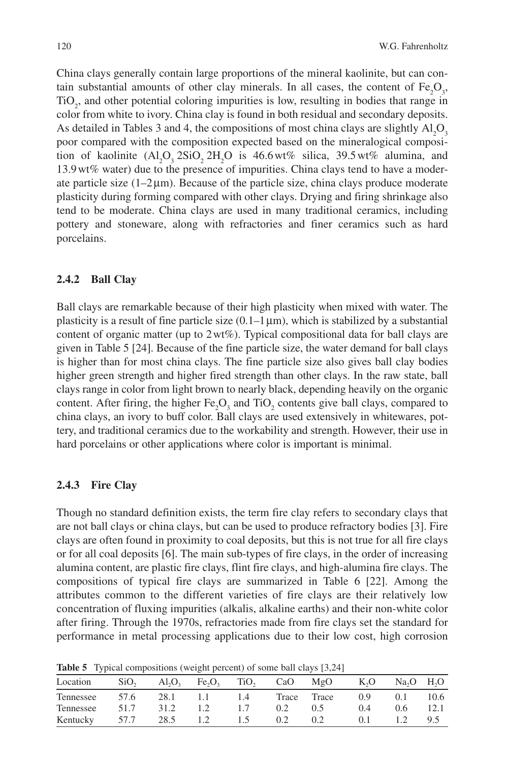China clays generally contain large proportions of the mineral kaolinite, but can contain substantial amounts of other clay minerals. In all cases, the content of  $Fe<sub>2</sub>O<sub>3</sub>$ , TiO<sub>2</sub>, and other potential coloring impurities is low, resulting in bodies that range in color from white to ivory. China clay is found in both residual and secondary deposits. As detailed in Tables 3 and 4, the compositions of most china clays are slightly  $Al_2O_3$ poor compared with the composition expected based on the mineralogical composition of kaolinite  $(Al_2O_3 2SiO_2 2H_2O$  is 46.6 wt% silica, 39.5 wt% alumina, and 13.9 wt% water) due to the presence of impurities. China clays tend to have a moderate particle size  $(1-2 \mu m)$ . Because of the particle size, china clays produce moderate plasticity during forming compared with other clays. Drying and firing shrinkage also tend to be moderate. China clays are used in many traditional ceramics, including pottery and stoneware, along with refractories and finer ceramics such as hard porcelains.

#### **2.4.2 Ball Clay**

Ball clays are remarkable because of their high plasticity when mixed with water. The plasticity is a result of fine particle size  $(0.1-1 \,\mu\text{m})$ , which is stabilized by a substantial content of organic matter (up to 2 wt%). Typical compositional data for ball clays are given in Table 5 [24]. Because of the fine particle size, the water demand for ball clays is higher than for most china clays. The fine particle size also gives ball clay bodies higher green strength and higher fired strength than other clays. In the raw state, ball clays range in color from light brown to nearly black, depending heavily on the organic content. After firing, the higher  $Fe<sub>2</sub>O<sub>3</sub>$  and TiO<sub>2</sub> contents give ball clays, compared to china clays, an ivory to buff color. Ball clays are used extensively in whitewares, pottery, and traditional ceramics due to the workability and strength. However, their use in hard porcelains or other applications where color is important is minimal.

#### **2.4.3 Fire Clay**

Though no standard definition exists, the term fire clay refers to secondary clays that are not ball clays or china clays, but can be used to produce refractory bodies [3]. Fire clays are often found in proximity to coal deposits, but this is not true for all fire clays or for all coal deposits [6]. The main sub-types of fire clays, in the order of increasing alumina content, are plastic fire clays, flint fire clays, and high-alumina fire clays. The compositions of typical fire clays are summarized in Table 6 [22]. Among the attributes common to the different varieties of fire clays are their relatively low concentration of fluxing impurities (alkalis, alkaline earths) and their non-white color after firing. Through the 1970s, refractories made from fire clays set the standard for performance in metal processing applications due to their low cost, high corrosion

| Location  |      |          |     |     |               | $SiO$ , $Al_2O_3$ , $Fe_2O_3$ , $TiO_2$ , $CaO$ , $MgO$ , $K_2O$ |               | $Na, O$ $H, O$ |      |
|-----------|------|----------|-----|-----|---------------|------------------------------------------------------------------|---------------|----------------|------|
| Tennessee | 57.6 | 28.1 1.1 |     | 1.4 | Trace         | Trace                                                            | 0.9           | 0.1            | 10.6 |
| Tennessee | 51.7 | 31.2     | 1.2 | 1.7 | $0.2^{\circ}$ | 0.5                                                              | $0.4^{\circ}$ | 0.6            | 12.1 |
| Kentucky  | 57.7 | 28.5     | 1.2 | 1.5 | $0.2^{\circ}$ | 0.2                                                              | 0.1           |                | 9.5  |

**Table 5** Typical compositions (weight percent) of some ball clays [3,24]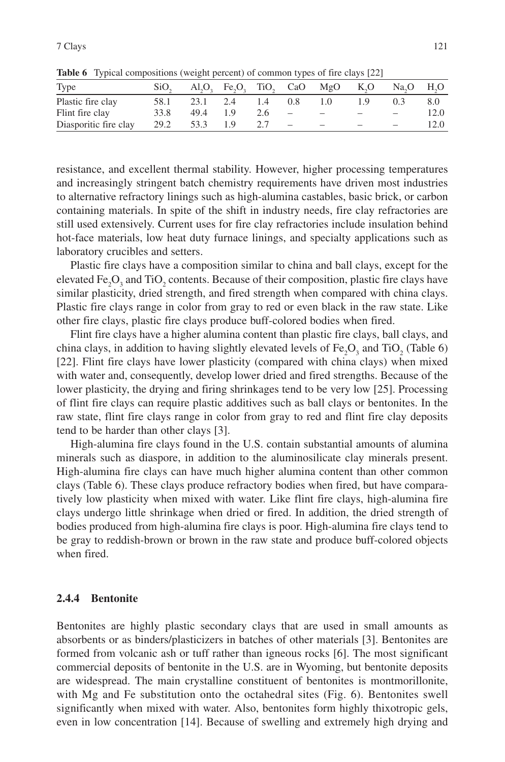| Type                  |      |                      |     |                          |        |                         | $SiO, Al, O, Fe, O, TiO, CaO MgO K, O Na, O H, O$ |      |
|-----------------------|------|----------------------|-----|--------------------------|--------|-------------------------|---------------------------------------------------|------|
| Plastic fire clay     | 58.1 | 23.1 2.4 1.4 0.8 1.0 |     |                          |        | -1.9                    | 0.3 <sup>2</sup>                                  | 8.0  |
| Flint fire clay       | 33.8 | 49.4 1.9             |     | $2.6 - -$                |        | and the contract of the | $\sim$                                            | 12.0 |
| Diasporitic fire clay |      | 29.2 53.3 1.9        | 2.7 | $\overline{\phantom{0}}$ | $\sim$ |                         | $\sim$                                            | 12.0 |

**Table 6** Typical compositions (weight percent) of common types of fire clays [22]

resistance, and excellent thermal stability. However, higher processing temperatures and increasingly stringent batch chemistry requirements have driven most industries to alternative refractory linings such as high-alumina castables, basic brick, or carbon containing materials. In spite of the shift in industry needs, fire clay refractories are still used extensively. Current uses for fire clay refractories include insulation behind hot-face materials, low heat duty furnace linings, and specialty applications such as laboratory crucibles and setters.

Plastic fire clays have a composition similar to china and ball clays, except for the elevated  $\text{Fe}_2\text{O}_3$  and  $\text{TiO}_2$  contents. Because of their composition, plastic fire clays have similar plasticity, dried strength, and fired strength when compared with china clays. Plastic fire clays range in color from gray to red or even black in the raw state. Like other fire clays, plastic fire clays produce buff-colored bodies when fired.

Flint fire clays have a higher alumina content than plastic fire clays, ball clays, and china clays, in addition to having slightly elevated levels of  $Fe<sub>2</sub>O<sub>3</sub>$  and TiO<sub>2</sub> (Table 6) [22]. Flint fire clays have lower plasticity (compared with china clays) when mixed with water and, consequently, develop lower dried and fired strengths. Because of the lower plasticity, the drying and firing shrinkages tend to be very low [25]. Processing of flint fire clays can require plastic additives such as ball clays or bentonites. In the raw state, flint fire clays range in color from gray to red and flint fire clay deposits tend to be harder than other clays [3].

High-alumina fire clays found in the U.S. contain substantial amounts of alumina minerals such as diaspore, in addition to the aluminosilicate clay minerals present. High-alumina fire clays can have much higher alumina content than other common clays (Table 6). These clays produce refractory bodies when fired, but have comparatively low plasticity when mixed with water. Like flint fire clays, high-alumina fire clays undergo little shrinkage when dried or fired. In addition, the dried strength of bodies produced from high-alumina fire clays is poor. High-alumina fire clays tend to be gray to reddish-brown or brown in the raw state and produce buff-colored objects when fired.

#### **2.4.4 Bentonite**

Bentonites are highly plastic secondary clays that are used in small amounts as absorbents or as binders/plasticizers in batches of other materials [3]. Bentonites are formed from volcanic ash or tuff rather than igneous rocks [6]. The most significant commercial deposits of bentonite in the U.S. are in Wyoming, but bentonite deposits are widespread. The main crystalline constituent of bentonites is montmorillonite, with Mg and Fe substitution onto the octahedral sites (Fig. 6). Bentonites swell significantly when mixed with water. Also, bentonites form highly thixotropic gels, even in low concentration [14]. Because of swelling and extremely high drying and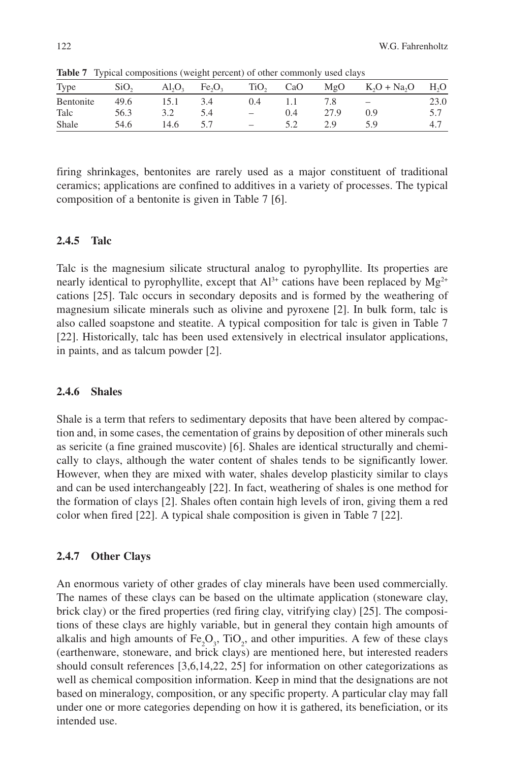| Type      | SiO <sub>2</sub> |      | $Al_2O_3$ Fe <sub>2</sub> O <sub>3</sub> | TiO <sub>2</sub> CaO     |     |      | $MgO$ $K_2O + Na_2O$ $H_2O$ |      |
|-----------|------------------|------|------------------------------------------|--------------------------|-----|------|-----------------------------|------|
| Bentonite | 49.6             | 15.1 | 3.4                                      | $0.4^{\circ}$            |     | 7.8  | $\sim$ $-$                  | 23.0 |
| Talc      | 56.3             | 3.2  | 5.4                                      | $-$                      | 0.4 | 27.9 | 0.9                         |      |
| Shale     | 54.6             | 14.6 |                                          | $\overline{\phantom{0}}$ |     | 2.9  |                             | 4.7  |

**Table 7** Typical compositions (weight percent) of other commonly used clays

firing shrinkages, bentonites are rarely used as a major constituent of traditional ceramics; applications are confined to additives in a variety of processes. The typical composition of a bentonite is given in Table 7 [6].

## **2.4.5 Talc**

Talc is the magnesium silicate structural analog to pyrophyllite. Its properties are nearly identical to pyrophyllite, except that  $Al^{3+}$  cations have been replaced by  $Mg^{2+}$ cations [25]. Talc occurs in secondary deposits and is formed by the weathering of magnesium silicate minerals such as olivine and pyroxene [2]. In bulk form, talc is also called soapstone and steatite. A typical composition for talc is given in Table 7 [22]. Historically, talc has been used extensively in electrical insulator applications, in paints, and as talcum powder [2].

#### **2.4.6 Shales**

Shale is a term that refers to sedimentary deposits that have been altered by compaction and, in some cases, the cementation of grains by deposition of other minerals such as sericite (a fine grained muscovite) [6]. Shales are identical structurally and chemically to clays, although the water content of shales tends to be significantly lower. However, when they are mixed with water, shales develop plasticity similar to clays and can be used interchangeably [22]. In fact, weathering of shales is one method for the formation of clays [2]. Shales often contain high levels of iron, giving them a red color when fired [22]. A typical shale composition is given in Table 7 [22].

#### **2.4.7 Other Clays**

An enormous variety of other grades of clay minerals have been used commercially. The names of these clays can be based on the ultimate application (stoneware clay, brick clay) or the fired properties (red firing clay, vitrifying clay) [25]. The compositions of these clays are highly variable, but in general they contain high amounts of alkalis and high amounts of  $Fe<sub>2</sub>O<sub>3</sub>$ , TiO<sub>2</sub>, and other impurities. A few of these clays (earthenware, stoneware, and brick clays) are mentioned here, but interested readers should consult references [3,6,14,22, 25] for information on other categorizations as well as chemical composition information. Keep in mind that the designations are not based on mineralogy, composition, or any specific property. A particular clay may fall under one or more categories depending on how it is gathered, its beneficiation, or its intended use.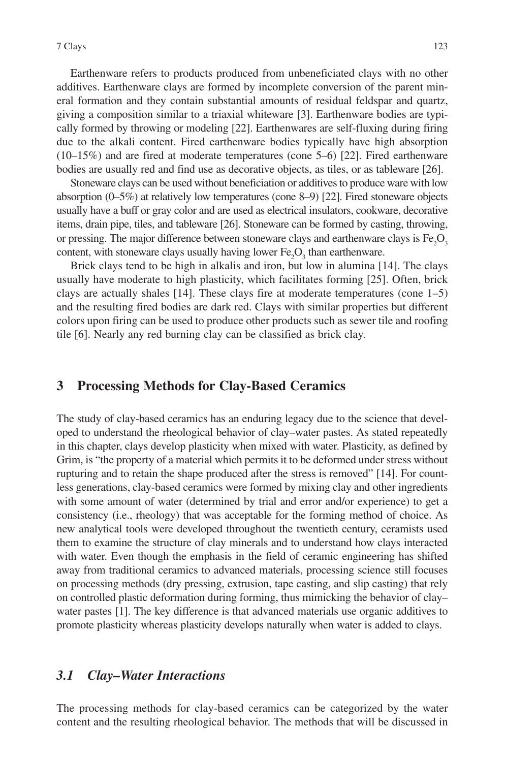Earthenware refers to products produced from unbeneficiated clays with no other additives. Earthenware clays are formed by incomplete conversion of the parent mineral formation and they contain substantial amounts of residual feldspar and quartz, giving a composition similar to a triaxial whiteware [3]. Earthenware bodies are typically formed by throwing or modeling [22]. Earthenwares are self-fluxing during firing due to the alkali content. Fired earthenware bodies typically have high absorption (10–15%) and are fired at moderate temperatures (cone 5–6) [22]. Fired earthenware bodies are usually red and find use as decorative objects, as tiles, or as tableware [26].

Stoneware clays can be used without beneficiation or additives to produce ware with low absorption (0–5%) at relatively low temperatures (cone 8–9) [22]. Fired stoneware objects usually have a buff or gray color and are used as electrical insulators, cookware, decorative items, drain pipe, tiles, and tableware [26]. Stoneware can be formed by casting, throwing, or pressing. The major difference between stoneware clays and earthenware clays is  $Fe<sub>2</sub>O<sub>3</sub>$ content, with stoneware clays usually having lower  $Fe<sub>2</sub>O<sub>3</sub>$  than earthenware.

Brick clays tend to be high in alkalis and iron, but low in alumina [14]. The clays usually have moderate to high plasticity, which facilitates forming [25]. Often, brick clays are actually shales  $[14]$ . These clays fire at moderate temperatures (cone  $1-5$ ) and the resulting fired bodies are dark red. Clays with similar properties but different colors upon firing can be used to produce other products such as sewer tile and roofing tile [6]. Nearly any red burning clay can be classified as brick clay.

## **3 Processing Methods for Clay-Based Ceramics**

The study of clay-based ceramics has an enduring legacy due to the science that developed to understand the rheological behavior of clay–water pastes. As stated repeatedly in this chapter, clays develop plasticity when mixed with water. Plasticity, as defined by Grim, is "the property of a material which permits it to be deformed under stress without rupturing and to retain the shape produced after the stress is removed" [14]. For countless generations, clay-based ceramics were formed by mixing clay and other ingredients with some amount of water (determined by trial and error and/or experience) to get a consistency (i.e., rheology) that was acceptable for the forming method of choice. As new analytical tools were developed throughout the twentieth century, ceramists used them to examine the structure of clay minerals and to understand how clays interacted with water. Even though the emphasis in the field of ceramic engineering has shifted away from traditional ceramics to advanced materials, processing science still focuses on processing methods (dry pressing, extrusion, tape casting, and slip casting) that rely on controlled plastic deformation during forming, thus mimicking the behavior of clay– water pastes [1]. The key difference is that advanced materials use organic additives to promote plasticity whereas plasticity develops naturally when water is added to clays.

#### *3.1 Clay–Water Interactions*

The processing methods for clay-based ceramics can be categorized by the water content and the resulting rheological behavior. The methods that will be discussed in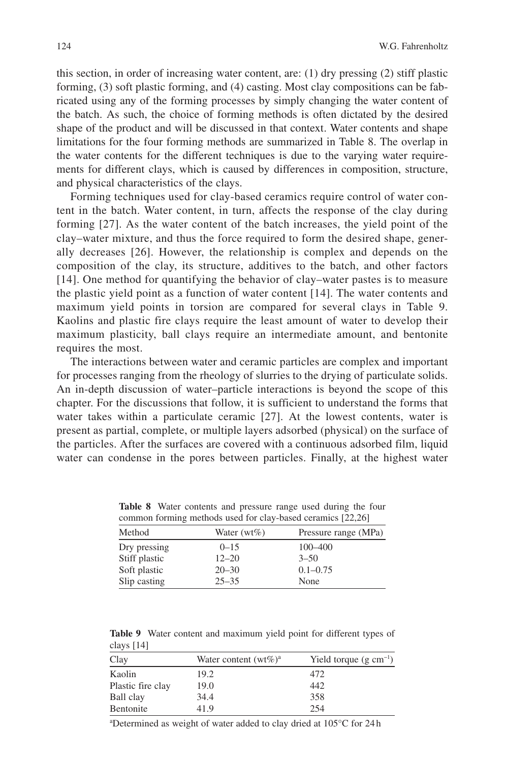this section, in order of increasing water content, are: (1) dry pressing (2) stiff plastic forming, (3) soft plastic forming, and (4) casting. Most clay compositions can be fabricated using any of the forming processes by simply changing the water content of the batch. As such, the choice of forming methods is often dictated by the desired shape of the product and will be discussed in that context. Water contents and shape limitations for the four forming methods are summarized in Table 8. The overlap in the water contents for the different techniques is due to the varying water requirements for different clays, which is caused by differences in composition, structure, and physical characteristics of the clays.

Forming techniques used for clay-based ceramics require control of water content in the batch. Water content, in turn, affects the response of the clay during forming [27]. As the water content of the batch increases, the yield point of the clay–water mixture, and thus the force required to form the desired shape, generally decreases [26]. However, the relationship is complex and depends on the composition of the clay, its structure, additives to the batch, and other factors [14]. One method for quantifying the behavior of clay–water pastes is to measure the plastic yield point as a function of water content [14]. The water contents and maximum yield points in torsion are compared for several clays in Table 9. Kaolins and plastic fire clays require the least amount of water to develop their maximum plasticity, ball clays require an intermediate amount, and bentonite requires the most.

The interactions between water and ceramic particles are complex and important for processes ranging from the rheology of slurries to the drying of particulate solids. An in-depth discussion of water–particle interactions is beyond the scope of this chapter. For the discussions that follow, it is sufficient to understand the forms that water takes within a particulate ceramic [27]. At the lowest contents, water is present as partial, complete, or multiple layers adsorbed (physical) on the surface of the particles. After the surfaces are covered with a continuous adsorbed film, liquid water can condense in the pores between particles. Finally, at the highest water

| Method        | Water $(wt\%)$ | Pressure range (MPa) |
|---------------|----------------|----------------------|
| Dry pressing  | $0 - 15$       | $100 - 400$          |
| Stiff plastic | $12 - 20$      | $3 - 50$             |
| Soft plastic  | $20 - 30$      | $0.1 - 0.75$         |
| Slip casting  | $25 - 35$      | None                 |

**Table 8** Water contents and pressure range used during the four common forming methods used for clay-based ceramics [22,26]

**Table 9** Water content and maximum yield point for different types of clays [14]

| Clay              | Water content $(wt\%)^a$ | Yield torque $(g \text{ cm}^{-1})$ |
|-------------------|--------------------------|------------------------------------|
| Kaolin            | 19.2                     | 472                                |
| Plastic fire clay | 19.0                     | 442                                |
| Ball clay         | 34.4                     | 358                                |
| Bentonite         | 41.9                     | 254                                |

a Determined as weight of water added to clay dried at 105°C for 24 h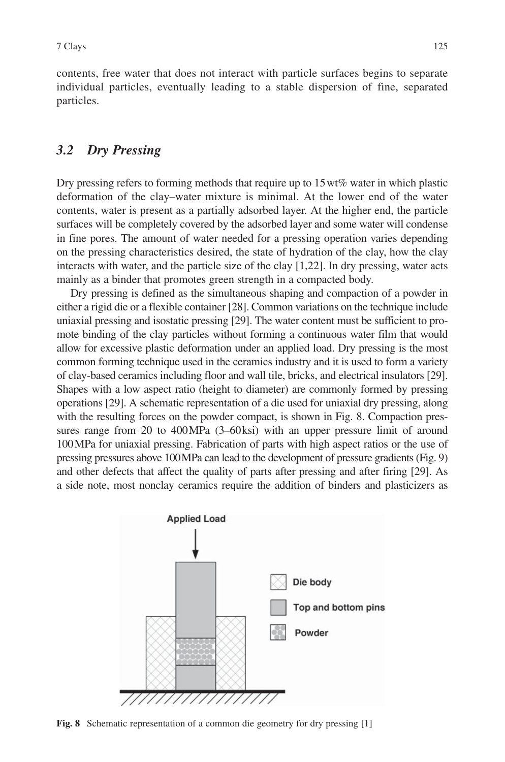contents, free water that does not interact with particle surfaces begins to separate individual particles, eventually leading to a stable dispersion of fine, separated particles.

## *3.2 Dry Pressing*

Dry pressing refers to forming methods that require up to 15 wt% water in which plastic deformation of the clay–water mixture is minimal. At the lower end of the water contents, water is present as a partially adsorbed layer. At the higher end, the particle surfaces will be completely covered by the adsorbed layer and some water will condense in fine pores. The amount of water needed for a pressing operation varies depending on the pressing characteristics desired, the state of hydration of the clay, how the clay interacts with water, and the particle size of the clay [1,22]. In dry pressing, water acts mainly as a binder that promotes green strength in a compacted body.

Dry pressing is defined as the simultaneous shaping and compaction of a powder in either a rigid die or a flexible container [28]. Common variations on the technique include uniaxial pressing and isostatic pressing [29]. The water content must be sufficient to promote binding of the clay particles without forming a continuous water film that would allow for excessive plastic deformation under an applied load. Dry pressing is the most common forming technique used in the ceramics industry and it is used to form a variety of clay-based ceramics including floor and wall tile, bricks, and electrical insulators [29]. Shapes with a low aspect ratio (height to diameter) are commonly formed by pressing operations [29]. A schematic representation of a die used for uniaxial dry pressing, along with the resulting forces on the powder compact, is shown in Fig. 8. Compaction pressures range from 20 to 400 MPa (3–60 ksi) with an upper pressure limit of around 100 MPa for uniaxial pressing. Fabrication of parts with high aspect ratios or the use of pressing pressures above 100 MPa can lead to the development of pressure gradients (Fig. 9) and other defects that affect the quality of parts after pressing and after firing [29]. As a side note, most nonclay ceramics require the addition of binders and plasticizers as



**Fig. 8** Schematic representation of a common die geometry for dry pressing [1]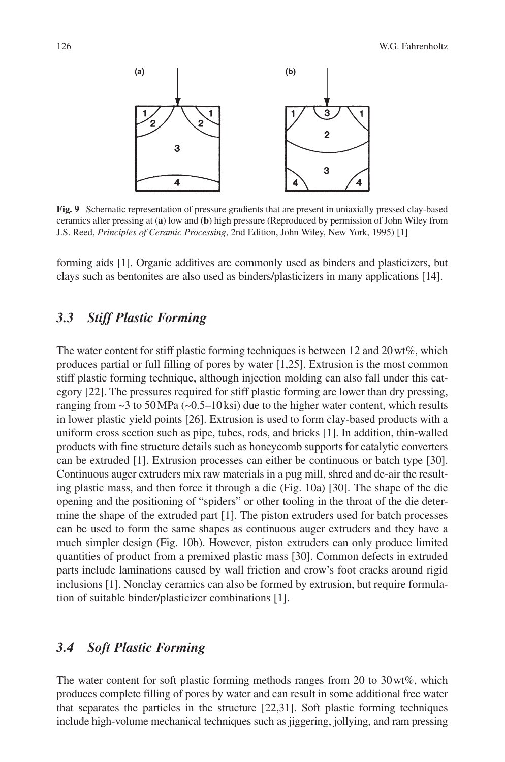

**Fig. 9** Schematic representation of pressure gradients that are present in uniaxially pressed clay-based ceramics after pressing at (**a**) low and (**b**) high pressure (Reproduced by permission of John Wiley from J.S. Reed, *Principles of Ceramic Processing*, 2nd Edition, John Wiley, New York, 1995) [1]

forming aids [1]. Organic additives are commonly used as binders and plasticizers, but clays such as bentonites are also used as binders/plasticizers in many applications [14].

## *3.3 Stiff Plastic Forming*

The water content for stiff plastic forming techniques is between 12 and  $20 \text{ wt}\%$ , which produces partial or full filling of pores by water [1,25]. Extrusion is the most common stiff plastic forming technique, although injection molding can also fall under this category [22]. The pressures required for stiff plastic forming are lower than dry pressing, ranging from  $\sim$ 3 to 50 MPa ( $\sim$ 0.5–10 ksi) due to the higher water content, which results in lower plastic yield points [26]. Extrusion is used to form clay-based products with a uniform cross section such as pipe, tubes, rods, and bricks [1]. In addition, thin-walled products with fine structure details such as honeycomb supports for catalytic converters can be extruded [1]. Extrusion processes can either be continuous or batch type [30]. Continuous auger extruders mix raw materials in a pug mill, shred and de-air the resulting plastic mass, and then force it through a die (Fig. 10a) [30]. The shape of the die opening and the positioning of "spiders" or other tooling in the throat of the die determine the shape of the extruded part [1]. The piston extruders used for batch processes can be used to form the same shapes as continuous auger extruders and they have a much simpler design (Fig. 10b). However, piston extruders can only produce limited quantities of product from a premixed plastic mass [30]. Common defects in extruded parts include laminations caused by wall friction and crow's foot cracks around rigid inclusions [1]. Nonclay ceramics can also be formed by extrusion, but require formulation of suitable binder/plasticizer combinations [1].

## *3.4 Soft Plastic Forming*

The water content for soft plastic forming methods ranges from 20 to  $30 \text{ wt}\%$ , which produces complete filling of pores by water and can result in some additional free water that separates the particles in the structure [22,31]. Soft plastic forming techniques include high-volume mechanical techniques such as jiggering, jollying, and ram pressing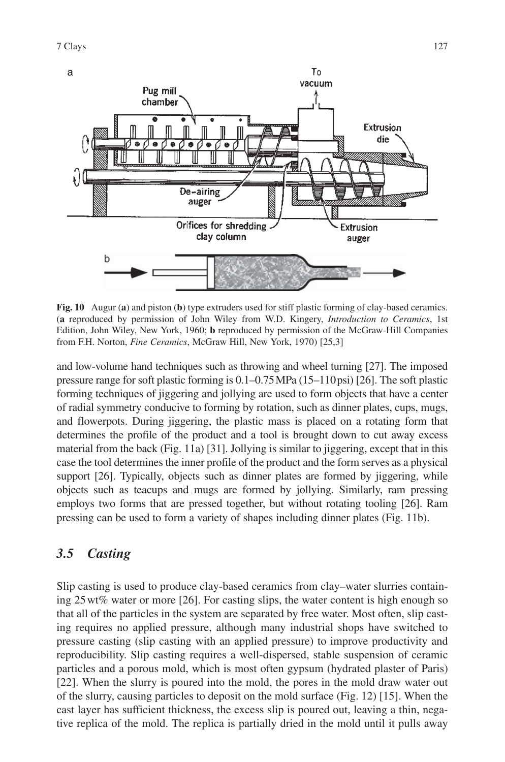

**Fig. 10** Augur (**a**) and piston (**b**) type extruders used for stiff plastic forming of clay-based ceramics. (**a** reproduced by permission of John Wiley from W.D. Kingery, *Introduction to Ceramics*, 1st Edition, John Wiley, New York, 1960; **b** reproduced by permission of the McGraw-Hill Companies from F.H. Norton, *Fine Ceramics*, McGraw Hill, New York, 1970) [25,3]

and low-volume hand techniques such as throwing and wheel turning [27]. The imposed pressure range for soft plastic forming is 0.1–0.75 MPa (15–110 psi) [26]. The soft plastic forming techniques of jiggering and jollying are used to form objects that have a center of radial symmetry conducive to forming by rotation, such as dinner plates, cups, mugs, and flowerpots. During jiggering, the plastic mass is placed on a rotating form that determines the profile of the product and a tool is brought down to cut away excess material from the back (Fig. 11a) [31]. Jollying is similar to jiggering, except that in this case the tool determines the inner profile of the product and the form serves as a physical support [26]. Typically, objects such as dinner plates are formed by jiggering, while objects such as teacups and mugs are formed by jollying. Similarly, ram pressing employs two forms that are pressed together, but without rotating tooling [26]. Ram pressing can be used to form a variety of shapes including dinner plates (Fig. 11b).

## *3.5 Casting*

Slip casting is used to produce clay-based ceramics from clay–water slurries containing 25 wt% water or more [26]. For casting slips, the water content is high enough so that all of the particles in the system are separated by free water. Most often, slip casting requires no applied pressure, although many industrial shops have switched to pressure casting (slip casting with an applied pressure) to improve productivity and reproducibility. Slip casting requires a well-dispersed, stable suspension of ceramic particles and a porous mold, which is most often gypsum (hydrated plaster of Paris) [22]. When the slurry is poured into the mold, the pores in the mold draw water out of the slurry, causing particles to deposit on the mold surface (Fig. 12) [15]. When the cast layer has sufficient thickness, the excess slip is poured out, leaving a thin, negative replica of the mold. The replica is partially dried in the mold until it pulls away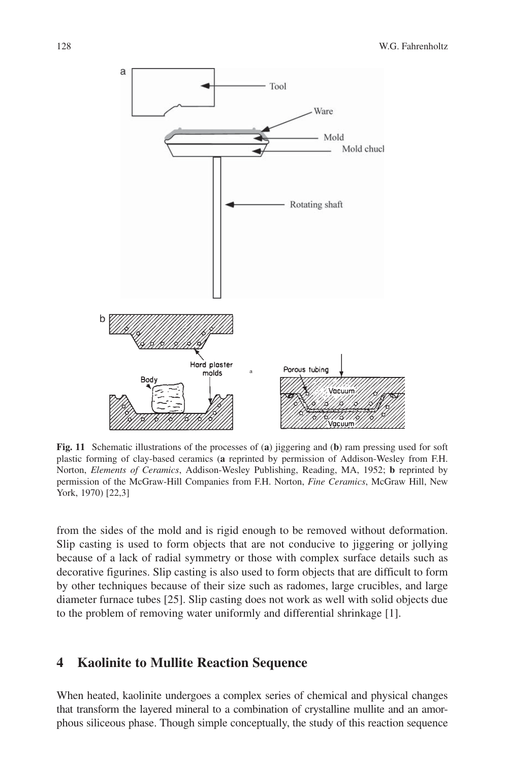

**Fig. 11** Schematic illustrations of the processes of (**a**) jiggering and (**b**) ram pressing used for soft plastic forming of clay-based ceramics (**a** reprinted by permission of Addison-Wesley from F.H. Norton, *Elements of Ceramics*, Addison-Wesley Publishing, Reading, MA, 1952; **b** reprinted by permission of the McGraw-Hill Companies from F.H. Norton, *Fine Ceramics*, McGraw Hill, New York, 1970) [22,3]

from the sides of the mold and is rigid enough to be removed without deformation. Slip casting is used to form objects that are not conducive to jiggering or jollying because of a lack of radial symmetry or those with complex surface details such as decorative figurines. Slip casting is also used to form objects that are difficult to form by other techniques because of their size such as radomes, large crucibles, and large diameter furnace tubes [25]. Slip casting does not work as well with solid objects due to the problem of removing water uniformly and differential shrinkage [1].

### **4 Kaolinite to Mullite Reaction Sequence**

When heated, kaolinite undergoes a complex series of chemical and physical changes that transform the layered mineral to a combination of crystalline mullite and an amorphous siliceous phase. Though simple conceptually, the study of this reaction sequence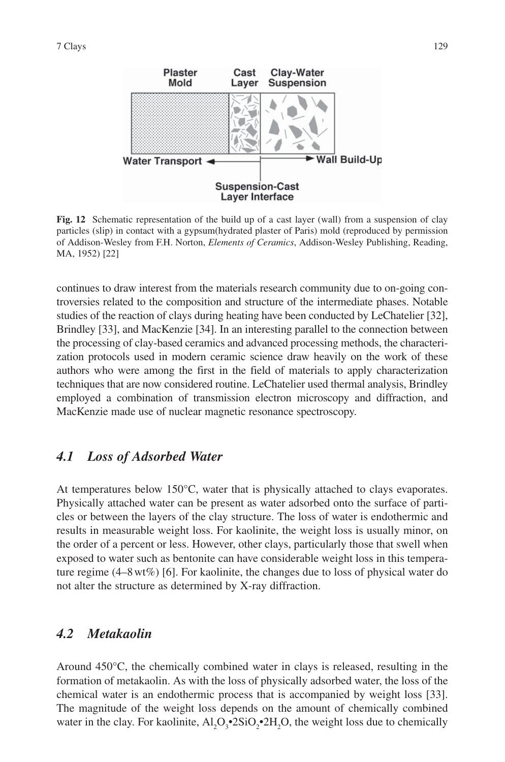

**Fig. 12** Schematic representation of the build up of a cast layer (wall) from a suspension of clay particles (slip) in contact with a gypsum(hydrated plaster of Paris) mold (reproduced by permission of Addison-Wesley from F.H. Norton, *Elements of Ceramics*, Addison-Wesley Publishing, Reading, MA, 1952) [22]

continues to draw interest from the materials research community due to on-going controversies related to the composition and structure of the intermediate phases. Notable studies of the reaction of clays during heating have been conducted by LeChatelier [32], Brindley [33], and MacKenzie [34]. In an interesting parallel to the connection between the processing of clay-based ceramics and advanced processing methods, the characterization protocols used in modern ceramic science draw heavily on the work of these authors who were among the first in the field of materials to apply characterization techniques that are now considered routine. LeChatelier used thermal analysis, Brindley employed a combination of transmission electron microscopy and diffraction, and MacKenzie made use of nuclear magnetic resonance spectroscopy.

## *4.1 Loss of Adsorbed Water*

At temperatures below 150°C, water that is physically attached to clays evaporates. Physically attached water can be present as water adsorbed onto the surface of particles or between the layers of the clay structure. The loss of water is endothermic and results in measurable weight loss. For kaolinite, the weight loss is usually minor, on the order of a percent or less. However, other clays, particularly those that swell when exposed to water such as bentonite can have considerable weight loss in this temperature regime (4–8 wt%) [6]. For kaolinite, the changes due to loss of physical water do not alter the structure as determined by X-ray diffraction.

## *4.2 Metakaolin*

Around 450°C, the chemically combined water in clays is released, resulting in the formation of metakaolin. As with the loss of physically adsorbed water, the loss of the chemical water is an endothermic process that is accompanied by weight loss [33]. The magnitude of the weight loss depends on the amount of chemically combined water in the clay. For kaolinite,  $Al_2O_3^{\bullet}2SiO_2^{\bullet}2H_2O$ , the weight loss due to chemically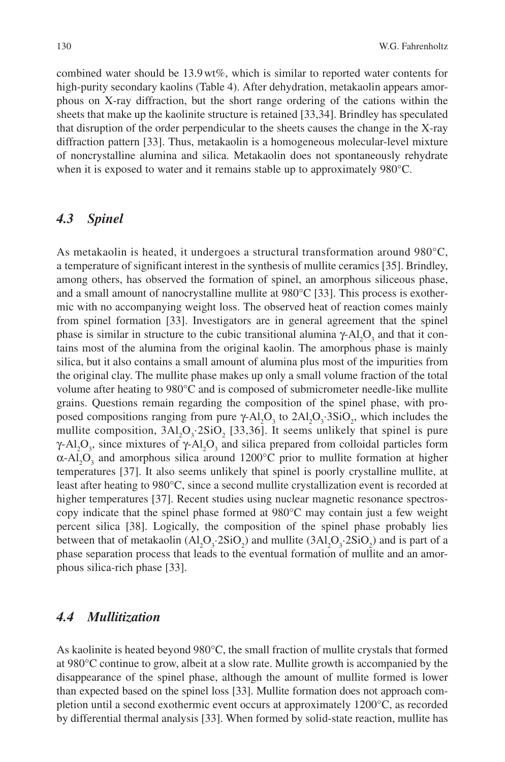combined water should be 13.9 wt%, which is similar to reported water contents for high-purity secondary kaolins (Table 4). After dehydration, metakaolin appears amorphous on X-ray diffraction, but the short range ordering of the cations within the sheets that make up the kaolinite structure is retained [33,34]. Brindley has speculated that disruption of the order perpendicular to the sheets causes the change in the X-ray diffraction pattern [33]. Thus, metakaolin is a homogeneous molecular-level mixture of noncrystalline alumina and silica. Metakaolin does not spontaneously rehydrate when it is exposed to water and it remains stable up to approximately 980°C.

## *4.3 Spinel*

As metakaolin is heated, it undergoes a structural transformation around 980°C, a temperature of significant interest in the synthesis of mullite ceramics [35]. Brindley, among others, has observed the formation of spinel, an amorphous siliceous phase, and a small amount of nanocrystalline mullite at 980°C [33]. This process is exothermic with no accompanying weight loss. The observed heat of reaction comes mainly from spinel formation [33]. Investigators are in general agreement that the spinel phase is similar in structure to the cubic transitional alumina  $\gamma$ -Al<sub>2</sub>O<sub>3</sub> and that it contains most of the alumina from the original kaolin. The amorphous phase is mainly silica, but it also contains a small amount of alumina plus most of the impurities from the original clay. The mullite phase makes up only a small volume fraction of the total volume after heating to 980°C and is composed of submicrometer needle-like mullite grains. Questions remain regarding the composition of the spinel phase, with proposed compositions ranging from pure γ-Al<sub>2</sub>O<sub>3</sub> to 2Al<sub>2</sub>O<sub>3</sub>.3SiO<sub>2</sub>, which includes the mullite composition,  $3\text{Al}_2\text{O}_3$  $2\text{SiO}_2$  [33,36]. It seems unlikely that spinel is pure  $\gamma$ -Al<sub>2</sub>O<sub>3</sub>, since mixtures of  $\gamma$ -Al<sub>2</sub>O<sub>3</sub> and silica prepared from colloidal particles form  $\alpha$ -Al<sub>2</sub>O<sub>3</sub> and amorphous silica around 1200°C prior to mullite formation at higher temperatures [37]. It also seems unlikely that spinel is poorly crystalline mullite, at least after heating to 980°C, since a second mullite crystallization event is recorded at higher temperatures [37]. Recent studies using nuclear magnetic resonance spectroscopy indicate that the spinel phase formed at 980°C may contain just a few weight percent silica [38]. Logically, the composition of the spinel phase probably lies between that of metakaolin  $(A_1O_3.2SiO_2)$  and mullite  $(3AI_2O_3.2SiO_2)$  and is part of a phase separation process that leads to the eventual formation of mullite and an amorphous silica-rich phase [33].

### *4.4 Mullitization*

As kaolinite is heated beyond 980°C, the small fraction of mullite crystals that formed at 980°C continue to grow, albeit at a slow rate. Mullite growth is accompanied by the disappearance of the spinel phase, although the amount of mullite formed is lower than expected based on the spinel loss [33]. Mullite formation does not approach completion until a second exothermic event occurs at approximately 1200°C, as recorded by differential thermal analysis [33]. When formed by solid-state reaction, mullite has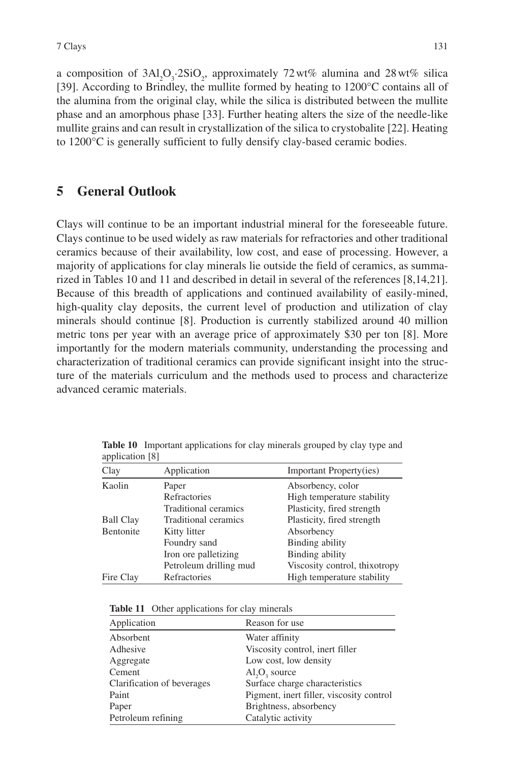a composition of  $3Al_2O_3$ :  $2SiO_2$ , approximately  $72$  wt% alumina and  $28$  wt% silica [39]. According to Brindley, the mullite formed by heating to 1200°C contains all of the alumina from the original clay, while the silica is distributed between the mullite phase and an amorphous phase [33]. Further heating alters the size of the needle-like mullite grains and can result in crystallization of the silica to crystobalite [22]. Heating to 1200°C is generally sufficient to fully densify clay-based ceramic bodies.

## **5 General Outlook**

Clays will continue to be an important industrial mineral for the foreseeable future. Clays continue to be used widely as raw materials for refractories and other traditional ceramics because of their availability, low cost, and ease of processing. However, a majority of applications for clay minerals lie outside the field of ceramics, as summarized in Tables 10 and 11 and described in detail in several of the references [8,14,21]. Because of this breadth of applications and continued availability of easily-mined, high-quality clay deposits, the current level of production and utilization of clay minerals should continue [8]. Production is currently stabilized around 40 million metric tons per year with an average price of approximately \$30 per ton [8]. More importantly for the modern materials community, understanding the processing and characterization of traditional ceramics can provide significant insight into the structure of the materials curriculum and the methods used to process and characterize advanced ceramic materials.

| Clay             | Application            | <b>Important Property(ies)</b> |
|------------------|------------------------|--------------------------------|
| Kaolin           | Paper                  | Absorbency, color              |
|                  | Refractories           | High temperature stability     |
|                  | Traditional ceramics   | Plasticity, fired strength     |
| <b>Ball Clay</b> | Traditional ceramics   | Plasticity, fired strength     |
| <b>Bentonite</b> | Kitty litter           | Absorbency                     |
|                  | Foundry sand           | Binding ability                |
|                  | Iron ore palletizing   | Binding ability                |
|                  | Petroleum drilling mud | Viscosity control, thixotropy  |
| Fire Clay        | Refractories           | High temperature stability     |

**Table 10** Important applications for clay minerals grouped by clay type and application [8]

|  |  | <b>Table 11</b> Other applications for clay minerals |  |  |  |
|--|--|------------------------------------------------------|--|--|--|
|--|--|------------------------------------------------------|--|--|--|

| Application                | Reason for use                           |
|----------------------------|------------------------------------------|
| Absorbent                  | Water affinity                           |
| Adhesive                   | Viscosity control, inert filler          |
| Aggregate                  | Low cost, low density                    |
| Cement                     | $\text{Al}_2\text{O}_3$ source           |
| Clarification of beverages | Surface charge characteristics           |
| Paint                      | Pigment, inert filler, viscosity control |
| Paper                      | Brightness, absorbency                   |
| Petroleum refining         | Catalytic activity                       |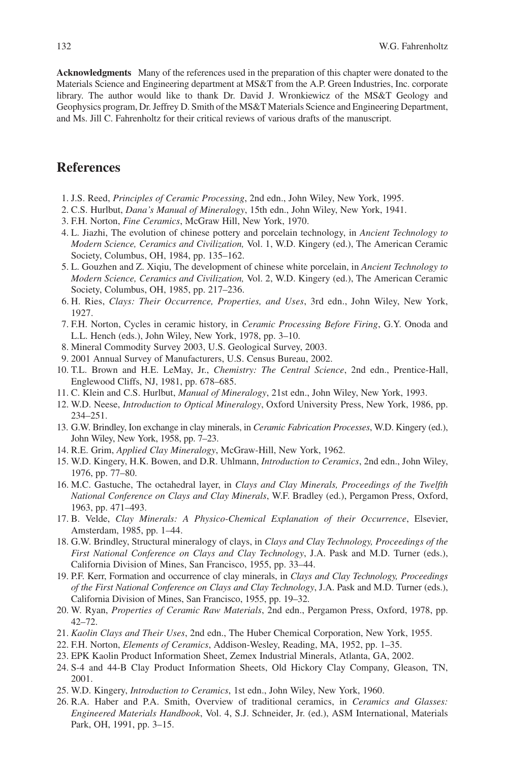**Acknowledgments** Many of the references used in the preparation of this chapter were donated to the Materials Science and Engineering department at MS&T from the A.P. Green Industries, Inc. corporate library. The author would like to thank Dr. David J. Wronkiewicz of the MS&T Geology and Geophysics program, Dr. Jeffrey D. Smith of the MS&T Materials Science and Engineering Department, and Ms. Jill C. Fahrenholtz for their critical reviews of various drafts of the manuscript.

### **References**

- 1. J.S. Reed, *Principles of Ceramic Processing*, 2nd edn., John Wiley, New York, 1995.
- 2. C.S. Hurlbut, *Dana's Manual of Mineralogy*, 15th edn., John Wiley, New York, 1941.
- 3. F.H. Norton, *Fine Ceramics*, McGraw Hill, New York, 1970.
- 4. L. Jiazhi, The evolution of chinese pottery and porcelain technology, in *Ancient Technology to Modern Science, Ceramics and Civilization,* Vol. 1, W.D. Kingery (ed.), The American Ceramic Society, Columbus, OH, 1984, pp. 135–162.
- 5. L. Gouzhen and Z. Xiqiu, The development of chinese white porcelain, in *Ancient Technology to Modern Science, Ceramics and Civilization,* Vol. 2, W.D. Kingery (ed.), The American Ceramic Society, Columbus, OH, 1985, pp. 217–236.
- 6. H. Ries, *Clays: Their Occurrence, Properties, and Uses*, 3rd edn., John Wiley, New York, 1927.
- 7. F.H. Norton, Cycles in ceramic history, in *Ceramic Processing Before Firing*, G.Y. Onoda and L.L. Hench (eds.), John Wiley, New York, 1978, pp. 3–10.
- 8. Mineral Commodity Survey 2003, U.S. Geological Survey, 2003.
- 9. 2001 Annual Survey of Manufacturers, U.S. Census Bureau, 2002.
- 10. T.L. Brown and H.E. LeMay, Jr., *Chemistry: The Central Science*, 2nd edn., Prentice-Hall, Englewood Cliffs, NJ, 1981, pp. 678–685.
- 11. C. Klein and C.S. Hurlbut, *Manual of Mineralogy*, 21st edn., John Wiley, New York, 1993.
- 12. W.D. Neese, *Introduction to Optical Mineralogy*, Oxford University Press, New York, 1986, pp. 234–251.
- 13. G.W. Brindley, Ion exchange in clay minerals, in *Ceramic Fabrication Processes*, W.D. Kingery (ed.), John Wiley, New York, 1958, pp. 7–23.
- 14. R.E. Grim, *Applied Clay Mineralogy*, McGraw-Hill, New York, 1962.
- 15. W.D. Kingery, H.K. Bowen, and D.R. Uhlmann, *Introduction to Ceramics*, 2nd edn., John Wiley, 1976, pp. 77–80.
- 16. M.C. Gastuche, The octahedral layer, in *Clays and Clay Minerals, Proceedings of the Twelfth National Conference on Clays and Clay Minerals*, W.F. Bradley (ed.), Pergamon Press, Oxford, 1963, pp. 471–493.
- 17. B. Velde, *Clay Minerals: A Physico-Chemical Explanation of their Occurrence*, Elsevier, Amsterdam, 1985, pp. 1–44.
- 18. G.W. Brindley, Structural mineralogy of clays, in *Clays and Clay Technology, Proceedings of the First National Conference on Clays and Clay Technology*, J.A. Pask and M.D. Turner (eds.), California Division of Mines, San Francisco, 1955, pp. 33–44.
- 19. P.F. Kerr, Formation and occurrence of clay minerals, in *Clays and Clay Technology, Proceedings of the First National Conference on Clays and Clay Technology*, J.A. Pask and M.D. Turner (eds.), California Division of Mines, San Francisco, 1955, pp. 19–32.
- 20. W. Ryan, *Properties of Ceramic Raw Materials*, 2nd edn., Pergamon Press, Oxford, 1978, pp. 42–72.
- 21. *Kaolin Clays and Their Uses*, 2nd edn., The Huber Chemical Corporation, New York, 1955.
- 22. F.H. Norton, *Elements of Ceramics*, Addison-Wesley, Reading, MA, 1952, pp. 1–35.
- 23. EPK Kaolin Product Information Sheet, Zemex Industrial Minerals, Atlanta, GA, 2002.
- 24. S-4 and 44-B Clay Product Information Sheets, Old Hickory Clay Company, Gleason, TN, 2001.
- 25. W.D. Kingery, *Introduction to Ceramics*, 1st edn., John Wiley, New York, 1960.
- 26. R.A. Haber and P.A. Smith, Overview of traditional ceramics, in *Ceramics and Glasses: Engineered Materials Handbook*, Vol. 4, S.J. Schneider, Jr. (ed.), ASM International, Materials Park, OH, 1991, pp. 3–15.